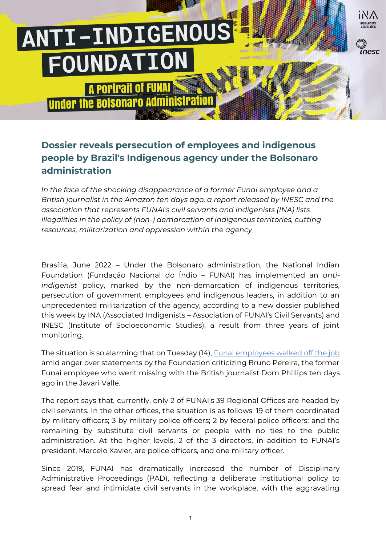# ANTI-INDIGENOUS FOUNDATION

**POPIPAIL Of FUNAL Under the Bolsonaro Administrati** 

### **Dossier reveals persecution of employees and indigenous people by Brazil's Indigenous agency under the Bolsonaro administration**

npsc

*In the face of the shocking disappearance of a former Funai employee and a British journalist in the Amazon ten days ago, a report released by INESC and the association that represents FUNAI's civil servants and indigenists (INA) lists illegalities in the policy of (non-) demarcation of indigenous territories, cutting resources, militarization and oppression within the agency*

Brasília, June 2022 – Under the Bolsonaro administration, the National Indian Foundation (Fundação Nacional do Índio – FUNAI) has implemented an *antiindigenist* policy, marked by the non-demarcation of indigenous territories, persecution of government employees and indigenous leaders, in addition to an unprecedented militarization of the agency, according to a new dossier published this week by INA (Associated Indigenists – Association of FUNAI's Civil Servants) and INESC (Institute of Socioeconomic Studies), a result from three years of joint monitoring.

The situation is so alarming that on Tuesday (14), [Funai employees walked off the job](https://www.theguardian.com/world/2022/jun/14/brazil-indigenous-agency-staff-strike-over-response-to-disappearance-of-bruno-pereira)  amid anger over statements by the Foundation criticizing Bruno Pereira, the former Funai employee who went missing with the British journalist Dom Phillips ten days ago in the Javari Valle.

The report says that, currently, only 2 of FUNAI's 39 Regional Offices are headed by civil servants. In the other offices, the situation is as follows: 19 of them coordinated by military officers; 3 by military police officers; 2 by federal police officers; and the remaining by substitute civil servants or people with no ties to the public administration. At the higher levels, 2 of the 3 directors, in addition to FUNAI's president, Marcelo Xavier, are police officers, and one military officer.

Since 2019, FUNAI has dramatically increased the number of Disciplinary Administrative Proceedings (PAD), reflecting a deliberate institutional policy to spread fear and intimidate civil servants in the workplace, with the aggravating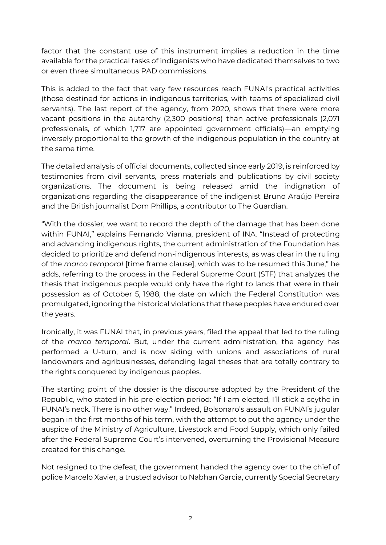factor that the constant use of this instrument implies a reduction in the time available for the practical tasks of indigenists who have dedicated themselves to two or even three simultaneous PAD commissions.

This is added to the fact that very few resources reach FUNAI's practical activities (those destined for actions in indigenous territories, with teams of specialized civil servants). The last report of the agency, from 2020, shows that there were more vacant positions in the autarchy (2,300 positions) than active professionals (2,071 professionals, of which 1,717 are appointed government officials)—an emptying inversely proportional to the growth of the indigenous population in the country at the same time.

The detailed analysis of official documents, collected since early 2019, is reinforced by testimonies from civil servants, press materials and publications by civil society organizations. The document is being released amid the indignation of organizations regarding the disappearance of the indigenist Bruno Araújo Pereira and the British journalist Dom Phillips, a contributor to The Guardian.

"With the dossier, we want to record the depth of the damage that has been done within FUNAI," explains Fernando Vianna, president of INA. "Instead of protecting and advancing indigenous rights, the current administration of the Foundation has decided to prioritize and defend non-indigenous interests, as was clear in the ruling of the *marco temporal* [time frame clause], which was to be resumed this June," he adds, referring to the process in the Federal Supreme Court (STF) that analyzes the thesis that indigenous people would only have the right to lands that were in their possession as of October 5, 1988, the date on which the Federal Constitution was promulgated, ignoring the historical violations that these peoples have endured over the years.

Ironically, it was FUNAI that, in previous years, filed the appeal that led to the ruling of the *marco temporal*. But, under the current administration, the agency has performed a U-turn, and is now siding with unions and associations of rural landowners and agribusinesses, defending legal theses that are totally contrary to the rights conquered by indigenous peoples.

The starting point of the dossier is the discourse adopted by the President of the Republic, who stated in his pre-election period: "If I am elected, I'll stick a scythe in FUNAI's neck. There is no other way." Indeed, Bolsonaro's assault on FUNAI's jugular began in the first months of his term, with the attempt to put the agency under the auspice of the Ministry of Agriculture, Livestock and Food Supply, which only failed after the Federal Supreme Court's intervened, overturning the Provisional Measure created for this change.

Not resigned to the defeat, the government handed the agency over to the chief of police Marcelo Xavier, a trusted advisor to Nabhan Garcia, currently Special Secretary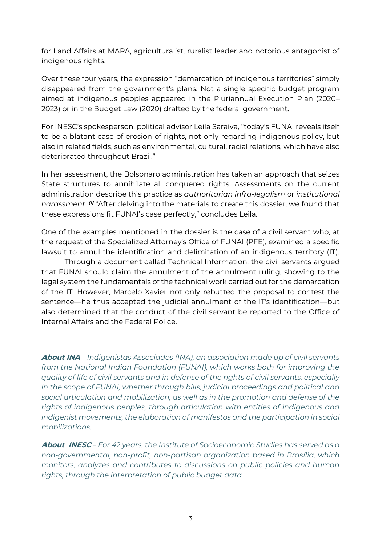for Land Affairs at MAPA, agriculturalist, ruralist leader and notorious antagonist of indigenous rights.

Over these four years, the expression "demarcation of indigenous territories" simply disappeared from the government's plans. Not a single specific budget program aimed at indigenous peoples appeared in the Pluriannual Execution Plan (2020– 2023) or in the Budget Law (2020) drafted by the federal government.

For INESC's spokesperson, political advisor Leila Saraiva, "today's FUNAI reveals itself to be a blatant case of erosion of rights, not only regarding indigenous policy, but also in related fields, such as environmental, cultural, racial relations, which have also deteriorated throughout Brazil."

In her assessment, the Bolsonaro administration has taken an approach that seizes State structures to annihilate all conquered rights. Assessments on the current administration describe this practice as *authoritarian infra-legalism* or *institutional*  harassment. <sup>**ni** "After delving into the materials to create this dossier, we found that</sup> these expressions fit FUNAI's case perfectly," concludes Leila.

One of the examples mentioned in the dossier is the case of a civil servant who, at the request of the Specialized Attorney's Office of FUNAI (PFE), examined a specific lawsuit to annul the identification and delimitation of an indigenous territory (IT).

Through a document called Technical Information, the civil servants argued that FUNAI should claim the annulment of the annulment ruling, showing to the legal system the fundamentals of the technical work carried out for the demarcation of the IT. However, Marcelo Xavier not only rebutted the proposal to contest the sentence—he thus accepted the judicial annulment of the IT's identification—but also determined that the conduct of the civil servant be reported to the Office of Internal Affairs and the Federal Police.

**About INA** *– Indigenistas Associados (INA), an association made up of civil servants from the National Indian Foundation (FUNAI), which works both for improving the quality of life of civil servants and in defense of the rights of civil servants, especially in the scope of FUNAI, whether through bills, judicial proceedings and political and social articulation and mobilization, as well as in the promotion and defense of the rights of indigenous peoples, through articulation with entities of indigenous and indigenist movements, the elaboration of manifestos and the participation in social mobilizations.*

**Abou[t INESC](https://youtu.be/yFj9zyZN_J8)** *– For 42 years, the Institute of Socioeconomic Studies has served as a non-governmental, non-profit, non-partisan organization based in Brasília, which monitors, analyzes and contributes to discussions on public policies and human rights, through the interpretation of public budget data.*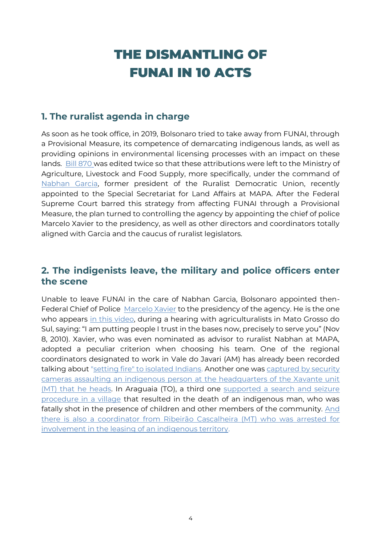## THE DISMANTLING OF FUNAI IN 10 ACTS

#### **1. The ruralist agenda in charge**

As soon as he took office, in 2019, Bolsonaro tried to take away from FUNAI, through a Provisional Measure, its competence of demarcating indigenous lands, as well as providing opinions in environmental licensing processes with an impact on these lands. [Bill 870](http://www.planalto.gov.br/ccivil_03/_Ato2019-2022/2019/Lei/L13844.htm) was edited twice so that these attributions were left to the Ministry of Agriculture, Livestock and Food Supply, more specifically, under the command of [Nabhan Garcia,](https://theintercept.com/2019/02/19/milicias-nabhan-garcia/) former president of the Ruralist Democratic Union, recently appointed to the Special Secretariat for Land Affairs at MAPA. After the Federal Supreme Court barred this strategy from affecting FUNAI through a Provisional Measure, the plan turned to controlling the agency by appointing the chief of police Marcelo Xavier to the presidency, as well as other directors and coordinators totally aligned with Garcia and the caucus of ruralist legislators.

#### **2. The indigenists leave, the military and police officers enter the scene**

Unable to leave FUNAI in the care of Nabhan Garcia, Bolsonaro appointed then-Federal Chief of Police [Marcelo Xavier](https://www.bbc.com/portuguese/brasil-49107737) to the presidency of the agency. He is the one who appears [in this video,](https://www.youtube.com/watch?v=WqO8ryEmUNU) during a hearing with agriculturalists in Mato Grosso do Sul, saying: "I am putting people I trust in the bases now, precisely to serve you" (Nov 8, 2010). Xavier, who was even nominated as advisor to ruralist Nabhan at MAPA, adopted a peculiar criterion when choosing his team. One of the regional coordinators designated to work in Vale do Javari (AM) has already been recorded talking about ["setting fire" to isolated Indians.](https://www1.folha.uol.com.br/poder/2021/07/tenente-do-exercito-coordenador-da-funai-fala-em-meter-fogo-em-indigenas-isolados-no-am-ouca-audio.shtml) Another one was captured by security [cameras assaulting an indigenous person at the headquarters of the Xavante unit](https://www.rdnews.com.br/orgaos/conteudos/144655)  [\(MT\) that he heads.](https://www.rdnews.com.br/orgaos/conteudos/144655) In Araguaia (TO), a third one supported a search and seizure [procedure in a village](https://www.midianews.com.br/policia/indio-procurado-pela-justica-de-mt-resiste-a-prisao-e-acaba-morto/407347) that resulted in the death of an indigenous man, who was fatally shot in the presence of children and other members of the community. And [there is also a coordinator from Ribeirão Cascalheira \(MT\) who was arrested for](https://www.brasildefato.com.br/2022/03/17/preso-por-arrendar-terra-indigena-coordenador-da-funai-era-considerado-modelo-pelo-governo)  [involvement in the leasing of an indigenous territory.](https://www.brasildefato.com.br/2022/03/17/preso-por-arrendar-terra-indigena-coordenador-da-funai-era-considerado-modelo-pelo-governo)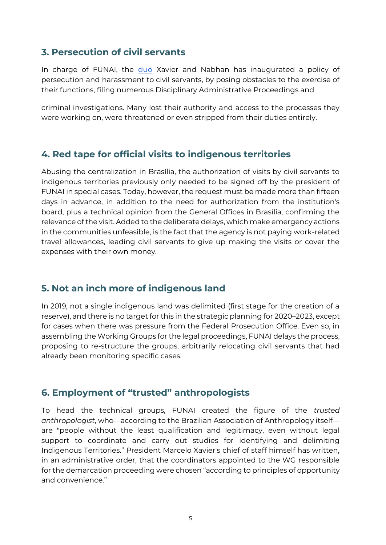#### **3. Persecution of civil servants**

In charge of FUNAI, the [duo](https://www.gov.br/funai/pt-br/assuntos/noticias/2020/funai-e-ministerio-da-agricultura-discutem-gestao-fundiaria) Xavier and Nabhan has inaugurated a policy of persecution and harassment to civil servants, by posing obstacles to the exercise of their functions, filing numerous Disciplinary Administrative Proceedings and

criminal investigations. Many lost their authority and access to the processes they were working on, were threatened or even stripped from their duties entirely.

#### **4. Red tape for official visits to indigenous territories**

Abusing the centralization in Brasília, the authorization of visits by civil servants to indigenous territories previously only needed to be signed off by the president of FUNAI in special cases. Today, however, the request must be made more than fifteen days in advance, in addition to the need for authorization from the institution's board, plus a technical opinion from the General Offices in Brasília, confirming the relevance of the visit. Added to the deliberate delays, which make emergency actions in the communities unfeasible, is the fact that the agency is not paying work-related travel allowances, leading civil servants to give up making the visits or cover the expenses with their own money.

#### **5. Not an inch more of indigenous land**

In 2019, not a single indigenous land was delimited (first stage for the creation of a reserve), and there is no target for this in the strategic planning for 2020–2023, except for cases when there was pressure from the Federal Prosecution Office. Even so, in assembling the Working Groups for the legal proceedings, FUNAI delays the process, proposing to re-structure the groups, arbitrarily relocating civil servants that had already been monitoring specific cases.

#### **6. Employment of "trusted" anthropologists**

To head the technical groups, FUNAI created the figure of the *trusted anthropologist*, who—according to the Brazilian Association of Anthropology itself are "people without the least qualification and legitimacy, even without legal support to coordinate and carry out studies for identifying and delimiting Indigenous Territories." President Marcelo Xavier's chief of staff himself has written, in an administrative order, that the coordinators appointed to the WG responsible for the demarcation proceeding were chosen "according to principles of opportunity and convenience."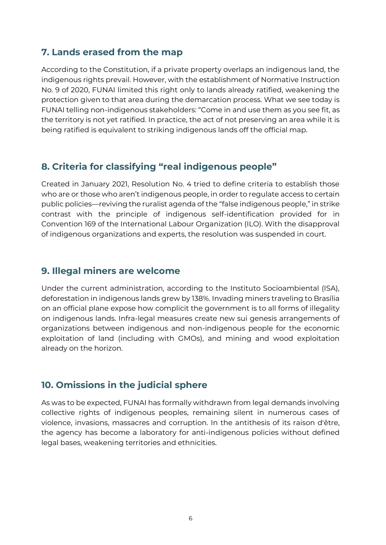#### **7. Lands erased from the map**

According to the Constitution, if a private property overlaps an indigenous land, the indigenous rights prevail. However, with the establishment of Normative Instruction No. 9 of 2020, FUNAI limited this right only to lands already ratified, weakening the protection given to that area during the demarcation process. What we see today is FUNAI telling non-indigenous stakeholders: "Come in and use them as you see fit, as the territory is not yet ratified. In practice, the act of not preserving an area while it is being ratified is equivalent to striking indigenous lands off the official map.

#### **8. Criteria for classifying "real indigenous people"**

Created in January 2021, Resolution No. 4 tried to define criteria to establish those who are or those who aren't indigenous people, in order to regulate access to certain public policies—reviving the ruralist agenda of the "false indigenous people," in strike contrast with the principle of indigenous self-identification provided for in Convention 169 of the International Labour Organization (ILO). With the disapproval of indigenous organizations and experts, the resolution was suspended in court.

#### **9. Illegal miners are welcome**

Under the current administration, according to the Instituto Socioambiental (ISA), deforestation in indigenous lands grew by 138%. Invading miners traveling to Brasília on an official plane expose how complicit the government is to all forms of illegality on indigenous lands. Infra-legal measures create new sui genesis arrangements of organizations between indigenous and non-indigenous people for the economic exploitation of land (including with GMOs), and mining and wood exploitation already on the horizon.

#### **10. Omissions in the judicial sphere**

As was to be expected, FUNAI has formally withdrawn from legal demands involving collective rights of indigenous peoples, remaining silent in numerous cases of violence, invasions, massacres and corruption. In the antithesis of its raison d'être, the agency has become a laboratory for anti-indigenous policies without defined legal bases, weakening territories and ethnicities.